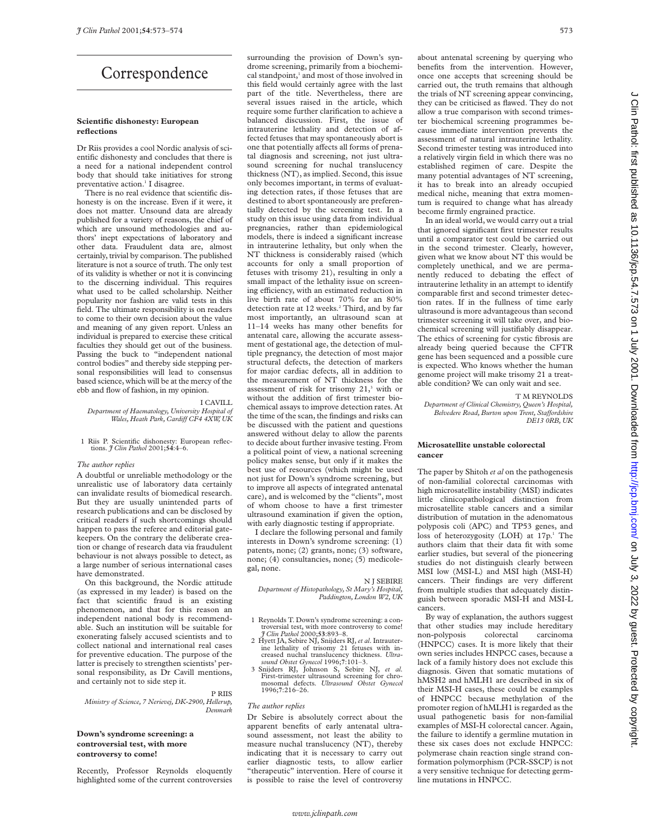# Correspondence

# **Scientific dishonesty: European reflections**

Dr Riis provides a cool Nordic analysis of scientific dishonesty and concludes that there is a need for a national independent control body that should take initiatives for strong preventative action.<sup>1</sup> I disagree.

There is no real evidence that scientific dishonesty is on the increase. Even if it were, it does not matter. Unsound data are already published for a variety of reasons, the chief of which are unsound methodologies and authors' inept expectations of laboratory and other data. Fraudulent data are, almost certainly, trivial by comparison. The published literature is not a source of truth. The only test of its validity is whether or not it is convincing to the discerning individual. This requires what used to be called scholarship. Neither popularity nor fashion are valid tests in this field. The ultimate responsibility is on readers to come to their own decision about the value and meaning of any given report. Unless an individual is prepared to exercise these critical faculties they should get out of the business. Passing the buck to "independent national control bodies" and thereby side stepping personal responsibilities will lead to consensus based science, which will be at the mercy of the ebb and flow of fashion, in my opinion.

# I CAVILL

*Department of Haematology, University Hospital of Wales, Heath Park, Cardiff CF4 4XW, UK* 

1 Riis P. Scientific dishonesty: European reflec-tions. *J Clin Pathol* 2001;**54**:4–6.

## *The author replies*

A doubtful or unreliable methodology or the unrealistic use of laboratory data certainly can invalidate results of biomedical research. But they are usually unintended parts of research publications and can be disclosed by critical readers if such shortcomings should happen to pass the referee and editorial gatekeepers. On the contrary the deliberate creation or change of research data via fraudulent behaviour is not always possible to detect, as a large number of serious international cases have demonstrated.

On this background, the Nordic attitude (as expressed in my leader) is based on the fact that scientific fraud is an existing phenomenon, and that for this reason an independent national body is recommendable. Such an institution will be suitable for exonerating falsely accused scientists and to collect national and international real cases for preventive education. The purpose of the latter is precisely to strengthen scientists' personal responsibility, as Dr Cavill mentions, and certainly not to side step it.

## P RIIS

*Ministry of Science, 7 Nerievej, DK-2900, Hellerup, Denmark*

# **Down's syndrome screening: a controversial test, with more controversy to come!**

Recently, Professor Reynolds eloquently highlighted some of the current controversies surrounding the provision of Down's syndrome screening, primarily from a biochemical standpoint,<sup>1</sup> and most of those involved in this field would certainly agree with the last part of the title. Nevertheless, there are several issues raised in the article, which require some further clarification to achieve a balanced discussion. First, the issue of intrauterine lethality and detection of affected fetuses that may spontaneously abort is one that potentially affects all forms of prenatal diagnosis and screening, not just ultrasound screening for nuchal translucency thickness (NT), as implied. Second, this issue only becomes important, in terms of evaluating detection rates, if those fetuses that are destined to abort spontaneously are preferentially detected by the screening test. In a study on this issue using data from individual pregnancies, rather than epidemiological models, there is indeed a significant increase in intrauterine lethality, but only when the NT thickness is considerably raised (which accounts for only a small proportion of fetuses with trisomy 21), resulting in only a small impact of the lethality issue on screening efficiency, with an estimated reduction in live birth rate of about 70% for an 80% detection rate at 12 weeks.<sup>2</sup> Third, and by far most importantly, an ultrasound scan at 11–14 weeks has many other benefits for antenatal care, allowing the accurate assessment of gestational age, the detection of multiple pregnancy, the detection of most major structural defects, the detection of markers for major cardiac defects, all in addition to the measurement of NT thickness for the assessment of risk for trisomy  $21$ ,<sup>3</sup> with or without the addition of first trimester biochemical assays to improve detection rates. At the time of the scan, the findings and risks can be discussed with the patient and questions answered without delay to allow the parents to decide about further invasive testing. From a political point of view, a national screening policy makes sense, but only if it makes the best use of resources (which might be used not just for Down's syndrome screening, but to improve all aspects of integrated antenatal care), and is welcomed by the "clients", most of whom choose to have a first trimester ultrasound examination if given the option, with early diagnostic testing if appropriate.

I declare the following personal and family interests in Down's syndrome screening: (1) patents, none; (2) grants, none; (3) software, none; (4) consultancies, none; (5) medicolegal, none.

N J SEBIRE

*Department of Histopathology, St Mary's Hospital, Paddington, London W2, UK*

- 1 Reynolds T. Down's syndrome screening: a controversial test, with more controversy to come! *J Clin Pathol* 2000;**53**:893–8.
- 2 Hyett JA, Sebire NJ, Snijders RJ, *et al*. Intrauterine lethality of trisomy 21 fettuses with in-<br>creased nuchal translucency thickness. Ultra-<br>sound Obstet Gynecol 1996;7:101-3.<br>3 Snijders RJ, Johnson S, Sebire NJ, et al.<br>First-trimester ultrasound screening for chro-
- First-trimester ultrasound screening for chro-<br>mosomal defects. *Ultrasound Obstet Gynecol* 1996;**7**:216–26.

#### *The author replies*

Dr Sebire is absolutely correct about the apparent benefits of early antenatal ultrasound assessment, not least the ability to measure nuchal translucency (NT), thereby indicating that it is necessary to carry out earlier diagnostic tests, to allow earlier "therapeutic" intervention. Here of course it is possible to raise the level of controversy

about antenatal screening by querying who benefits from the intervention. However, once one accepts that screening should be carried out, the truth remains that although the trials of NT screening appear convincing, they can be criticised as flawed. They do not allow a true comparison with second trimester biochemical screening programmes because immediate intervention prevents the assessment of natural intrauterine lethality. Second trimester testing was introduced into a relatively virgin field in which there was no established regimen of care. Despite the many potential advantages of NT screening, it has to break into an already occupied medical niche, meaning that extra momentum is required to change what has already become firmly engrained practice.

In an ideal world, we would carry out a trial that ignored significant first trimester results until a comparator test could be carried out in the second trimester. Clearly, however, given what we know about NT this would be completely unethical, and we are permanently reduced to debating the effect of intrauterine lethality in an attempt to identify comparable first and second trimester detection rates. If in the fullness of time early ultrasound is more advantageous than second trimester screening it will take over, and biochemical screening will justifiably disappear. The ethics of screening for cystic fibrosis are already being queried because the CFTR gene has been sequenced and a possible cure is expected. Who knows whether the human genome project will make trisomy 21 a treatable condition? We can only wait and see.

T M REYNOLDS

*Department of Clinical Chemistry, Queen's Hospital, Belvedere Road, Burton upon Trent, StaVordshire DE13 0RB, UK*

## **Microsatellite unstable colorectal cancer**

The paper by Shitoh *et al* on the pathogenesis of non-familial colorectal carcinomas with high microsatellite instability (MSI) indicates little clinicopathological distinction from microsatellite stable cancers and a similar distribution of mutation in the adenomatous polyposis coli (APC) and TP53 genes, and loss of heterozygosity (LOH) at 17p.<sup>1</sup> The authors claim that their data fit with some earlier studies, but several of the pioneering studies do not distinguish clearly between MSI low (MSI-L) and MSI high (MSI-H) cancers. Their findings are very different from multiple studies that adequately distinguish between sporadic MSI-H and MSI-L cancers.

By way of explanation, the authors suggest that other studies may include hereditary non-polyposis colorectal carcinoma (HNPCC) cases. It is more likely that their own series includes HNPCC cases, because a lack of a family history does not exclude this diagnosis. Given that somatic mutations of hMSH2 and hMLH1 are described in six of their MSI-H cases, these could be examples of HNPCC because methylation of the promoter region of hMLH1 is regarded as the usual pathogenetic basis for non-familial examples of MSI-H colorectal cancer. Again, the failure to identify a germline mutation in these six cases does not exclude HNPCC: polymerase chain reaction single strand conformation polymorphism (PCR-SSCP) is not a very sensitive technique for detecting germline mutations in HNPCC.